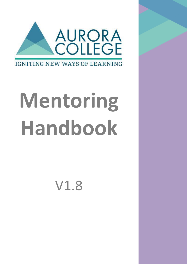

# **Mentoring Handbook**

V1.8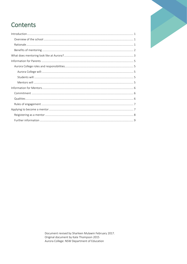# Contents

Document revised by Sharleen Mulawin February 2017. Original document by Kate Thompson 2015 Aurora College: NSW Department of Education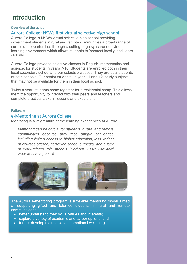# <span id="page-2-0"></span>Introduction

## <span id="page-2-1"></span>Overview of the school

# Aurora College: NSWs first virtual selective high school

Aurora College is NSWs virtual selective high school providing government students in rural and remote communities a broad range of curriculum opportunities through a cutting-edge synchronous virtual learning environment which allows students to 'connect locally' and 'learn globally'.

Aurora College provides selective classes in English, mathematics and science, for students in years 7-10. Students are enrolled both in their local secondary school and our selective classes. They are dual students of both schools. Our senior students, in year 11 and 12, study subjects that may not be available for them in their local school.

Twice a year, students come together for a residential camp. This allows them the opportunity to interact with their peers and teachers and complete practical tasks in lessons and excursions.

#### <span id="page-2-2"></span>Rationale

## e-Mentoring at Aurora College

Mentoring is a key feature of the learning experiences at Aurora.

*Mentoring can be crucial for students in rural and remote communities because they face unique challenges including limited access to higher education, less variety of courses offered, narrowed school curricula, and a lack of work-related role models (Barbour 2007; Crawford 2006 in Li et al, 2010).*



The Aurora e-mentoring program is a flexible mentoring model aimed at supporting gifted and talented students in rural and remote communities to:

- $\triangleright$  better understand their skills, values and interests;
- $\triangleright$  explore a variety of academic and career options; and
- $\triangleright$  further develop their social and emotional wellbeing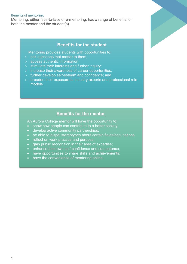#### <span id="page-3-0"></span>Benefits of mentoring

Mentoring, either face-to-face or e-mentoring, has a range of benefits for both the mentor and the student(s).

## **Benefits for the student**

Mentoring provides students with opportunities to:

- $>$  ask questions that matter to them;
- > access authentic information;
- $>$  stimulate their interests and further inquiry;
- > increase their awareness of career opportunities;
- > further develop self-esteem and confidence; and
- > broaden their exposure to industry experts and professional role models.

# **Benefits for the mentor**

An Aurora College mentor will have the opportunity to:

- show how people can contribute to a better society;
- develop active community partnerships;
- be able to dispel stereotypes about certain fields/occupations;
- reflect on work practice and purpose;
- gain public recognition in their area of expertise;
- enhance their own self-confidence and competence;
- have opportunities to share skills and achievements;
- have the convenience of mentoring online.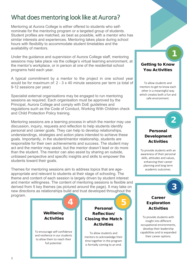# <span id="page-4-0"></span>What does mentoring look like at Aurora?

Mentoring at Aurora College is either offered to students who selfnominate for the mentoring program or a targeted group of students. Student profiles are matched, as best as possible, with a mentor who has similar interests and experiences. Mentoring takes place during school hours with flexibility to accommodate student timetables and the availability of mentors.

Under the guidance and supervision of Aurora College staff, mentoring sessions may take place via the college's virtual learning environment, at the mentor's workplace, or in person at one of the residential school programs held each year.

A typical commitment by a mentor to the project in one school year would be for maximum of: 2 - 3 x 40 minute sessions per term (a total of 9-12 sessions per year)

Specialist external organisations may be engaged to run mentoring sessions as required. Each organisation must be approved by the Principal, Aurora College and comply with DoE guidelines and regulations such as the Code of Conduct, Working With Children check and Child Protection Policy training.

Mentoring sessions are a learning process in which the mentor may use discussion, inquiry, requests and reflection to help students identify personal and career goals. They can help to develop relationships, understandings, strategies and action plans intended to achieve these goals. Importantly, in the student/mentor relationship, students are responsible for their own achievements and success. The student may act and the mentor may assist, but the mentor doesn't lead or do more than the student. The mentor can also assist by sharing an outside, unbiased perspective and specific insights and skills to empower the students toward their goals.

Themes for mentoring sessions aim to address topics that are ageappropriate and relevant to students at their stage of schooling. The theme and content of each session is largely driven by student interest and mentor willingness. The content of mentoring sessions is flexible and derived from 5 key themes (as pictured around the page). It may take on new directions as relationships build and trust developed throughout the program.



# Getting to Know You Activities

1

2

3

To allow students and mentors to get to know each other in a meaningful way which creates both a fun and safe environment.

# Personal Development **Activities**

To provide students with an awareness of their personal skills, attitudes and values, enhancing their career planning and long term academic outcomes.

# Career Exploration Activities

To provide students with insight into different occupational environments, develop their leadership capabilities and to expanded their career options.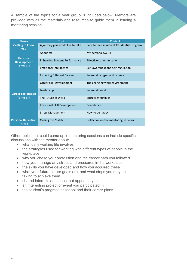A sample of the topics for a year group is included below. Mentors are provided with all the materials and resources to guide them in leading a mentoring session.

| <b>Theme</b>                                       | <b>Topic</b>                         | Content                                     |
|----------------------------------------------------|--------------------------------------|---------------------------------------------|
| <b>Getting to know</b><br>you                      | A journey you would like to take     | Face to face session at Residential program |
| <b>Personal</b><br><b>Development</b><br>Terms 1-2 | About me                             | My personal SWOT                            |
|                                                    | <b>Enhancing Student Performance</b> | <b>Effective communication</b>              |
|                                                    | <b>Emotional Intelligence</b>        | Self-awareness and self-regulation          |
| <b>Career Exploration</b><br>Terms 3-4             | <b>Exploring Different Careers</b>   | Personality types and careers               |
|                                                    | Career Skill Development             | The changing work environment               |
|                                                    | Leadership                           | Personal brand                              |
|                                                    | The Future of Work                   | Entrepreneurships                           |
|                                                    | <b>Emotional Skill Development</b>   | Confidence                                  |
|                                                    | <b>Stress Management</b>             | How to be happy!                            |
| <b>Personal Reflection</b><br>Term <sub>4</sub>    | <b>Closing the Match</b>             | Reflection on the mentoring sessions        |

Other topics that could come up in mentoring sessions can include specific discussions with the mentor about:

- what daily working life involves
- the strategies used for working with different types of people in the workplace
- why you chose your profession and the career path you followed
- how you manage any stress and pressures in the workplace
- the skills you have developed and how you acquired these
- what your future career goals are, and what steps you may be taking to achieve them
- shared interests and ideas that appeal to you
- an interesting project or event you participated in
- the student's progress at school and their career plans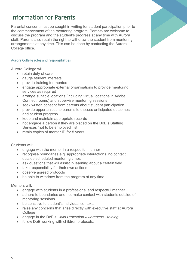# <span id="page-6-0"></span>Information for Parents

Parental consent must be sought in writing for student participation prior to the commencement of the mentoring program. Parents are welcome to discuss the program and the student's progress at any time with Aurora staff. Parents also retain the right to withdraw the student from mentoring arrangements at any time. This can be done by contacting the Aurora College office.

## <span id="page-6-1"></span>Aurora College roles and responsibilities

<span id="page-6-2"></span>Aurora College will:

- retain duty of care
- gauge student interests
- provide training for mentors
- engage appropriate external organisations to provide mentoring services as required
- arrange suitable locations (including virtual locations in Adobe Connect rooms) and supervise mentoring sessions
- seek written consent from parents about student participation
- provide opportunities to parents to discuss anticipated outcomes and student progress
- keep and maintain appropriate records
- not engage a person if they are placed on the DoE's Staffing Services 'not to be employed' list
- retain copies of mentor ID for 5 years

<span id="page-6-3"></span>Students will:

- engage with the mentor in a respectful manner
- recognise boundaries e.g. appropriate interactions, no contact outside scheduled mentoring times
- ask questions that will assist in learning about a certain field
- take responsibility for their own actions
- observe agreed protocols
- be able to withdraw from the program at any time

<span id="page-6-4"></span>Mentors will**:** 

- engage with students in a professional and respectful manner
- adhere to boundaries and not make contact with students outside of mentoring sessions
- be sensitive to student's individual contexts
- raise any concerns that arise directly with executive staff at Aurora **College**
- engage in the DoE's *Child Protection Awareness Training*
- follow DoE working with children protocols.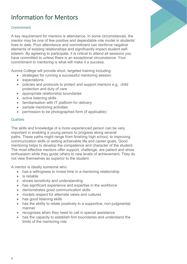# <span id="page-7-0"></span>Information for Mentors

## <span id="page-7-1"></span>**Commitment**

A key requirement for mentors is attendance. In some circumstances, the mentor may be one of few positive and dependable role model in students' lives to date. Poor attendance and commitment can reinforce negative elements of existing relationships and significantly impact student selfesteem. By agreeing to participate, it is critical to attend all sessions you have committed to unless there is an exceptional circumstance. Your commitment to mentoring is what will make it a success.

Aurora College will provide short, targeted training including:

- strategies for running a successful mentoring session
- expectations
- policies and protocols to protect and support mentors e.g.: child protection and duty of care
- appropriate relationship boundaries
- active listening skills
- familiarisation with IT platform for delivery
- sample mentoring activities
- permission to be photographed form (if applicable)

## <span id="page-7-2"></span>**Qualities**

The skills and knowledge of a more experienced person can be very important in enabling a young person to progress along several paths. These paths might range from finishing high school, to improving communication skills or setting achievable life and career goals. Good mentoring helps to develop the competence and character of the student. The most effective mentors offer support, challenge, are patient and show enthusiasm while they guide others to new levels of achievement. They do not view themselves as superior to the student.

A mentor is ideally someone who:

- has a willingness to invest time in a mentoring relationship
- is reliable
- shows sensitivity and understanding
- has significant experience and expertise in the workforce
- demonstrates good communication skills
- models respect for alternate views and cultures
- has good listening skills
- has the ability to relate positively in a supportive, non-judgmental manner
- recognises when they need to call in special assistance
- has the capacity to establish firm boundaries and understand the limits of the mentoring role

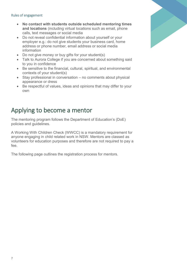### <span id="page-8-0"></span>Rules of engagement

- **No contact with students outside scheduled mentoring times and locations** (including virtual locations such as email, phone calls, text messages or social media
- Do not reveal confidential information about yourself or your employer e.g.: do not give students your business card, home address or phone number, email address or social media information
- Do not give money or buy gifts for your student(s)
- Talk to Aurora College if you are concerned about something said to you in confidence
- Be sensitive to the financial, cultural, spiritual, and environmental contexts of your student(s)
- Stay professional in conversation no comments about physical appearance or dress
- Be respectful of values, ideas and opinions that may differ to your own

# <span id="page-8-1"></span>Applying to become a mentor

The mentoring program follows the Department of Education's (DoE) policies and guidelines.

A Working With Children Check (WWCC) is a mandatory requirement for anyone engaging in child related work in NSW. Mentors are classed as volunteers for education purposes and therefore are not required to pay a fee.

The following page outlines the registration process for mentors.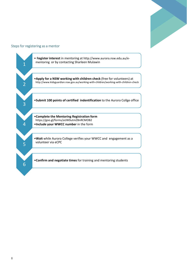

#### <span id="page-9-0"></span>Steps for registering as a mentor

<span id="page-9-1"></span>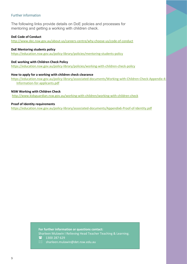### Further information

The following links provide details on DoE policies and processes for mentoring and getting a working with children check.

#### **DoE Code of Conduct**

<http://www.dec.nsw.gov.au/about-us/careers-centre/why-choose-us/code-of-conduct>

#### **DoE Mentoring students policy**

<https://education.nsw.gov.au/policy-library/policies/mentoring-students-policy>

#### **DoE working with Children Check Policy**

<https://education.nsw.gov.au/policy-library/policies/working-with-children-check-policy>

#### **How to apply for a working with children check clearance**

[https://education.nsw.gov.au/policy-library/associated-documents/Working-with-Children-Check-Appendix-4-](https://education.nsw.gov.au/policy-library/associated-documents/Working-with-Children-Check-Appendix-4-Information-for-applicants.pdf) [Information-for-applicants.pdf](https://education.nsw.gov.au/policy-library/associated-documents/Working-with-Children-Check-Appendix-4-Information-for-applicants.pdf)

#### **NSW Working with Children Check**

<http://www.kidsguardian.nsw.gov.au/working-with-children/working-with-children-check>

#### **Proof of Identity requirements**

<https://education.nsw.gov.au/policy-library/associated-documents/Appendix6-Proof-of-Identity.pdf>

**For further information or questions contact:**

Sharleen Mulawin I Relieving Head Teacher Teaching & Learning.

- 1300 287 629
- $\boxtimes$  sharleen.mulawin@det.nsw.edu.au